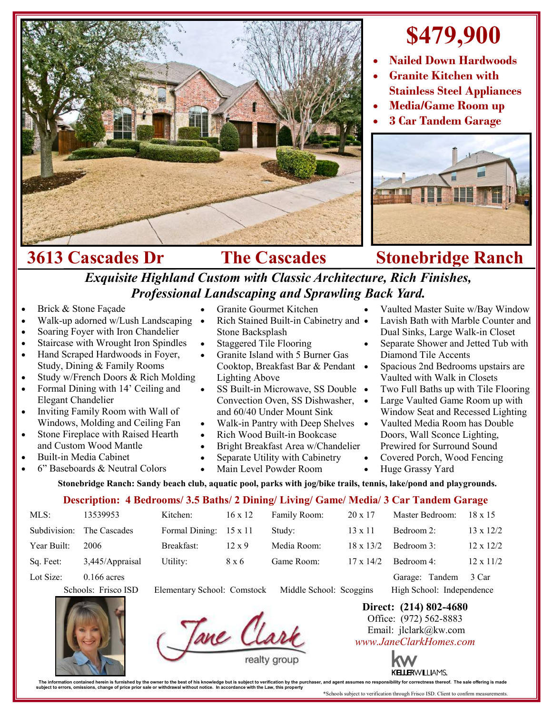

# **\$479,900**

- **Nailed Down Hardwoods**
- **Granite Kitchen with Stainless Steel Appliances**
- **Media/Game Room up**
- **3 Car Tandem Garage**



**3613 Cascades Dr The Cascades Stonebridge Ranch**

# *Exquisite Highland Custom with Classic Architecture, Rich Finishes, Professional Landscaping and Sprawling Back Yard.*

- Brick & Stone Façade
- Walk-up adorned w/Lush Landscaping
- Soaring Foyer with Iron Chandelier
- Staircase with Wrought Iron Spindles
- Hand Scraped Hardwoods in Foyer, Study, Dining & Family Rooms
- Study w/French Doors & Rich Molding
- Formal Dining with 14' Ceiling and Elegant Chandelier
- Inviting Family Room with Wall of Windows, Molding and Ceiling Fan
- Stone Fireplace with Raised Hearth and Custom Wood Mantle
- Built-in Media Cabinet
- 6" Baseboards & Neutral Colors
- Granite Gourmet Kitchen
- Rich Stained Built-in Cabinetry and Stone Backsplash
- Staggered Tile Flooring
- Granite Island with 5 Burner Gas Cooktop, Breakfast Bar & Pendant Lighting Above
- SS Built-in Microwave, SS Double . Convection Oven, SS Dishwasher, and 60/40 Under Mount Sink
- Walk-in Pantry with Deep Shelves •
- Rich Wood Built-in Bookcase
- Bright Breakfast Area w/Chandelier
- Separate Utility with Cabinetry
- Main Level Powder Room
- Vaulted Master Suite w/Bay Window Lavish Bath with Marble Counter and
	- Dual Sinks, Large Walk-in Closet
- Separate Shower and Jetted Tub with Diamond Tile Accents
- Spacious 2nd Bedrooms upstairs are Vaulted with Walk in Closets
- Two Full Baths up with Tile Flooring
- Large Vaulted Game Room up with
- Window Seat and Recessed Lighting Vaulted Media Room has Double Doors, Wall Sconce Lighting,
- Prewired for Surround Sound Covered Porch, Wood Fencing
- Huge Grassy Yard

**Stonebridge Ranch: Sandy beach club, aquatic pool, parks with jog/bike trails, tennis, lake/pond and playgrounds.** 

#### **Description: 4 Bedrooms/ 3.5 Baths/ 2 Dining/ Living/ Game/ Media/ 3 Car Tandem Garage**

| MLS:         | 13539953        | Kitchen:                      | $16 \times 12$ | Family Room: | $20 \times 17$   | Master Bedroom: | 18 x 15          |
|--------------|-----------------|-------------------------------|----------------|--------------|------------------|-----------------|------------------|
| Subdivision: | The Cascades    | Formal Dining: $15 \times 11$ |                | Study:       | $13 \times 11$   | Bedroom 2:      | $13 \times 12/2$ |
| Year Built:  | 2006            | Breakfast:                    | $12 \times 9$  | Media Room:  | $18 \times 13/2$ | Bedroom 3:      | $12 \times 12/2$ |
| Sq. Feet:    | 3,445/Appraisal | Utility:                      | 8 x 6          | Game Room:   | $17 \times 14/2$ | Bedroom 4:      | $12 \times 11/2$ |
| Lot Size:    | $0.166$ acres   |                               |                |              |                  | Garage: Tandem  | 3 Car            |

Schools: Frisco ISD Elementary School: Comstock Middle School: Scoggins High School: Independence





**Direct: (214) 802-4680** Office: (972) 562-8883 Email: jlclark@kw.com *www.JaneClarkHomes.com*



ned herein is furnished by the owner to **i**<br>ons, change of price prior sale or withdi

'Schools subject to verification through Frisco ISD. Client to confirm measurem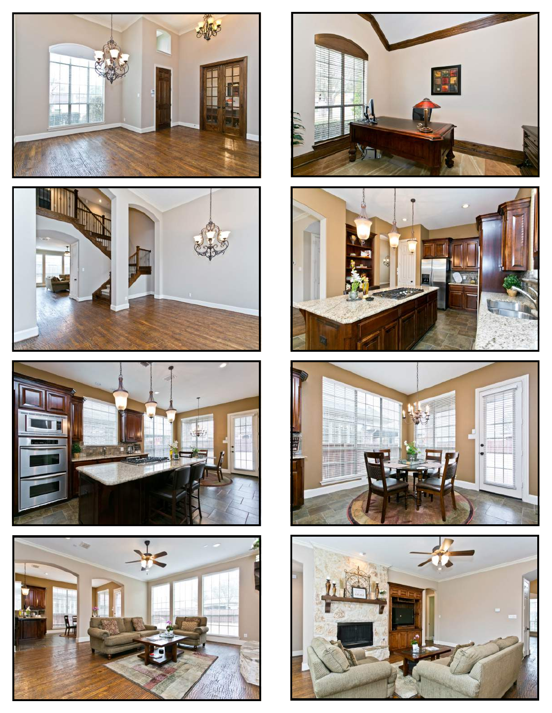













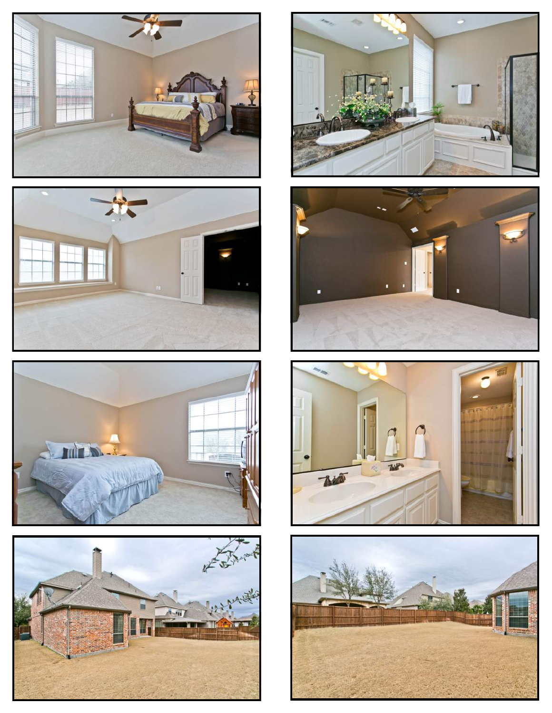